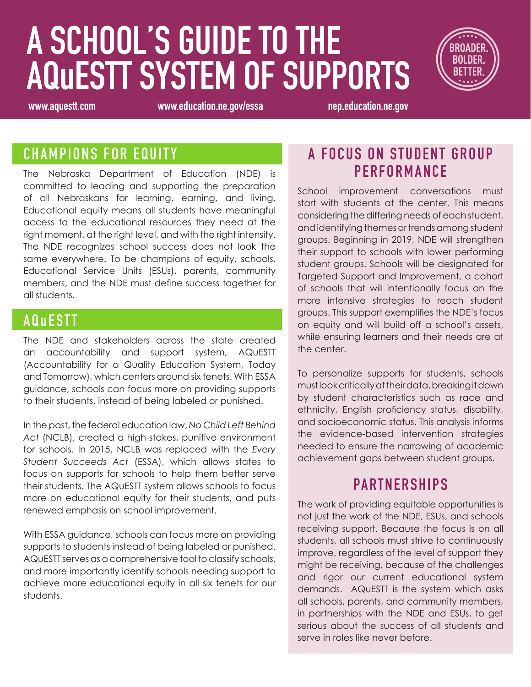# **A SCHOOL'S GUIDE TO THE AQuESTT SYSTEM OF SUPPORTS**



**www.aquestt.com www.education.ne.gov/essa nep.education.ne.gov**

#### **CHAMPIONS FOR EQUITY**

The Nebraska Department of Education (NDE) is committed to leading and supporting the preparation of all Nebraskans for learning, earning, and living. Educational equity means all students have meaningful access to the educational resources they need at the right moment, at the right level, and with the right intensity. The NDE recognizes school success does not look the same everywhere. To be champions of equity, schools, Educational Service Units (ESUs), parents, community members, and the NDE must define success together for all students.

#### **A QuESTT**

The NDE and stakeholders across the state created an accountability and support system, AQuESTT (Accountability for a Quality Education System, Today and Tomorrow), which centers around six tenets. With ESSA guidance, schools can focus more on providing supports to their students, instead of being labeled or punished.

In the past, the federal education law, *No Child Left Behind Act* (NCLB), created a high-stakes, punitive environment for schools. In 2015, NCLB was replaced with the *Every Student Succeeds Act* (ESSA), which allows states to focus on supports for schools to help them better serve their students. The AQuESTT system allows schools to focus more on educational equity for their students, and puts renewed emphasis on school improvement.

With ESSA guidance, schools can focus more on providing supports to students instead of being labeled or punished. AQuESTT serves as a comprehensive tool to classify schools, and more importantly identify schools needing support to achieve more educational equity in all six tenets for our students.

#### **A FOCUS ON STUDENT GROUP P E R F O R M A N C E**

School improvement conversations must start with students at the center. This means considering the differing needs of each student, and identifying themes or trends among student groups. Beginning in 2019, NDE will strengthen their support to schools with lower performing student groups. Schools will be designated for Targeted Support and Improvement, a cohort of schools that will intentionally focus on the more intensive strategies to reach student groups. This support exemplifies the NDE's focus on equity and will build off a school's assets, while ensuring learners and their needs are at the center.

To personalize supports for students, schools must look critically at their data, breaking it down by student characteristics such as race and ethnicity, English proficiency status, disability, and socioeconomic status. This analysis informs the evidence-based intervention strategies needed to ensure the narrowing of academic achievement gaps between student groups.

### **PARTNERSHIPS**

The work of providing equitable opportunities is not just the work of the NDE, ESUs, and schools receiving support. Because the focus is on all students, all schools must strive to continuously improve, regardless of the level of support they might be receiving, because of the challenges and rigor our current educational system demands. AQuESTT is the system which asks all schools, parents, and community members, in partnerships with the NDE and ESUs, to get serious about the success of all students and serve in roles like never before.